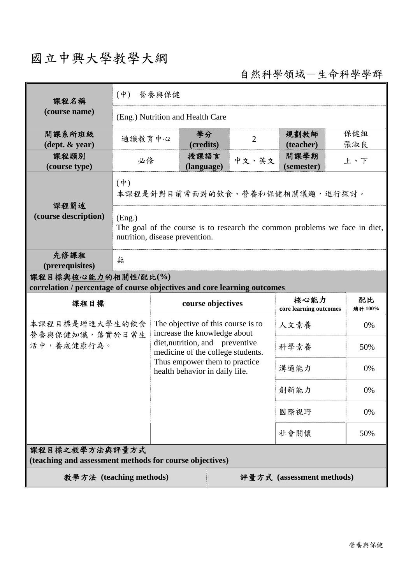## 國立中興大學教學大綱

自然科學領域-生命科學學群

| 課程名稱<br>(course name)                                                                           | 營養與保健<br>$($ 中 $)$                                                                                                     |                                                                                                                                         |                                                                    |                                |                    |            |  |
|-------------------------------------------------------------------------------------------------|------------------------------------------------------------------------------------------------------------------------|-----------------------------------------------------------------------------------------------------------------------------------------|--------------------------------------------------------------------|--------------------------------|--------------------|------------|--|
|                                                                                                 | (Eng.) Nutrition and Health Care                                                                                       |                                                                                                                                         |                                                                    |                                |                    |            |  |
| 開課系所班級<br>$(\text{dept.} \& \text{ year})$                                                      | 通識教育中心                                                                                                                 |                                                                                                                                         | 學分<br>(credits)                                                    | $\overline{2}$                 | 規劃教師<br>(teacher)  | 保健組<br>張淑良 |  |
| 課程類別<br>(course type)                                                                           | 必修                                                                                                                     |                                                                                                                                         | 授課語言<br>(language)                                                 | 中文、英文                          | 開課學期<br>(semester) | 上、下        |  |
| 課程簡述<br>(course description)                                                                    | $(\phi)$<br>本課程是針對目前常面對的飲食、營養和保健相關議題,進行探討。                                                                             |                                                                                                                                         |                                                                    |                                |                    |            |  |
|                                                                                                 | (Eng.)<br>The goal of the course is to research the common problems we face in diet,<br>nutrition, disease prevention. |                                                                                                                                         |                                                                    |                                |                    |            |  |
| 先修課程<br>(prerequisites)                                                                         | 無                                                                                                                      |                                                                                                                                         |                                                                    |                                |                    |            |  |
| 課程目標與核心能力的相關性/配比(%)<br>correlation / percentage of course objectives and core learning outcomes |                                                                                                                        |                                                                                                                                         |                                                                    |                                |                    |            |  |
| 課程目標                                                                                            |                                                                                                                        | course objectives                                                                                                                       |                                                                    | 核心能力<br>core learning outcomes | 配比<br>總計 100%      |            |  |
| 本課程目標是增進大學生的飲食<br>營養與保健知識,落實於日常生                                                                |                                                                                                                        |                                                                                                                                         | The objective of this course is to<br>increase the knowledge about |                                | 人文素養               | 0%         |  |
| 活中, 養成健康行為。                                                                                     |                                                                                                                        | diet, nutrition, and preventive<br>medicine of the college students.<br>Thus empower them to practice<br>health behavior in daily life. |                                                                    | 科學素養                           | 50%                |            |  |
|                                                                                                 |                                                                                                                        |                                                                                                                                         |                                                                    | 溝通能力                           | 0%                 |            |  |
|                                                                                                 |                                                                                                                        |                                                                                                                                         |                                                                    | 創新能力                           | 0%                 |            |  |
|                                                                                                 |                                                                                                                        |                                                                                                                                         |                                                                    | 國際視野                           | 0%                 |            |  |
|                                                                                                 |                                                                                                                        |                                                                                                                                         |                                                                    |                                | 社會關懷               | 50%        |  |
| 課程目標之教學方法與評量方式<br>(teaching and assessment methods for course objectives)                       |                                                                                                                        |                                                                                                                                         |                                                                    |                                |                    |            |  |
| 教學方法 (teaching methods)<br>評量方式 (assessment methods)                                            |                                                                                                                        |                                                                                                                                         |                                                                    |                                |                    |            |  |